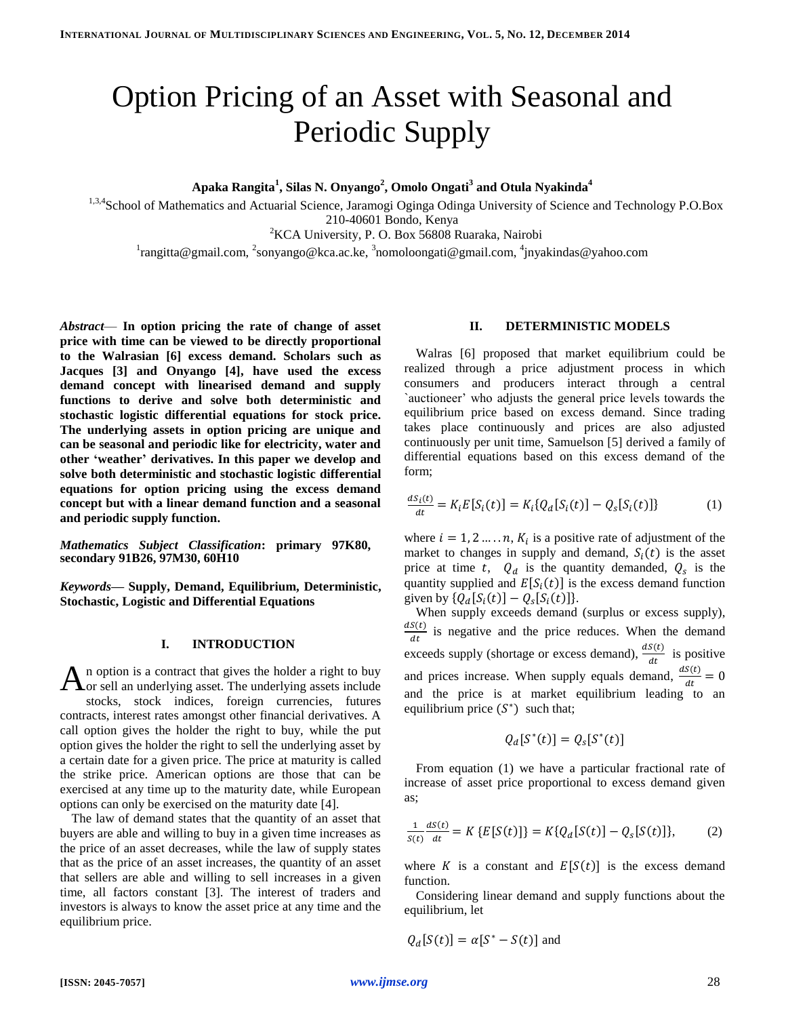# Option Pricing of an Asset with Seasonal and Periodic Supply

**Apaka Rangita<sup>1</sup> , Silas N. Onyango<sup>2</sup> , Omolo Ongati<sup>3</sup> and Otula Nyakinda<sup>4</sup>**

1,3,4School of Mathematics and Actuarial Science, Jaramogi Oginga Odinga University of Science and Technology P.O.Box 210-40601 Bondo, Kenya

<sup>2</sup>KCA University, P. O. Box 56808 Ruaraka, Nairobi

<sup>1</sup>rangitta@gmail.com, <sup>2</sup>sonyango@kca.ac.ke, <sup>3</sup>nomoloongati@gmail.com, <sup>4</sup>jnyakindas@yahoo.com

*Abstract*— **In option pricing the rate of change of asset price with time can be viewed to be directly proportional to the Walrasian [6] excess demand. Scholars such as Jacques [3] and Onyango [4], have used the excess demand concept with linearised demand and supply functions to derive and solve both deterministic and stochastic logistic differential equations for stock price. The underlying assets in option pricing are unique and can be seasonal and periodic like for electricity, water and other 'weather' derivatives. In this paper we develop and solve both deterministic and stochastic logistic differential equations for option pricing using the excess demand concept but with a linear demand function and a seasonal and periodic supply function.** 

*Mathematics Subject Classification***: primary 97K80, secondary 91B26, 97M30, 60H10**

*Keywords***— Supply, Demand, Equilibrium, Deterministic, Stochastic, Logistic and Differential Equations**

### **I. INTRODUCTION**

n option is a contract that gives the holder a right to buy  $\mathbf{A}$ n option is a contract that gives the holder a right to buy<br>Aor sell an underlying asset. The underlying assets include stocks, stock indices, foreign currencies, futures contracts, interest rates amongst other financial derivatives. A call option gives the holder the right to buy, while the put option gives the holder the right to sell the underlying asset by a certain date for a given price. The price at maturity is called the strike price. American options are those that can be exercised at any time up to the maturity date, while European options can only be exercised on the maturity date [4].

The law of demand states that the quantity of an asset that buyers are able and willing to buy in a given time increases as the price of an asset decreases, while the law of supply states that as the price of an asset increases, the quantity of an asset that sellers are able and willing to sell increases in a given time, all factors constant [3]. The interest of traders and investors is always to know the asset price at any time and the equilibrium price.

## **II. DETERMINISTIC MODELS**

Walras [6] proposed that market equilibrium could be realized through a price adjustment process in which consumers and producers interact through a central `auctioneer' who adjusts the general price levels towards the equilibrium price based on excess demand. Since trading takes place continuously and prices are also adjusted continuously per unit time, Samuelson [5] derived a family of differential equations based on this excess demand of the form;

$$
\frac{dS_i(t)}{dt} = K_i E[S_i(t)] = K_i \{ Q_d[S_i(t)] - Q_s[S_i(t)] \}
$$
(1)

where  $i = 1, 2, ..., n$ ,  $K_i$  is a positive rate of adjustment of the market to changes in supply and demand,  $S_i(t)$  is the asset price at time t,  $Q_d$  is the quantity demanded,  $Q_s$  is the quantity supplied and  $E[S_i(t)]$  is the excess demand function given by  $\{Q_d[S_i(t)] - Q_s[S_i(t)]\}.$ 

When supply exceeds demand (surplus or excess supply), d  $\frac{dS(t)}{dt}$  is negative and the price reduces. When the demand exceeds supply (shortage or excess demand),  $\frac{dS(t)}{dt}$  is positive and prices increase. When supply equals demand,  $\frac{d}{dx}$  $\frac{s(t)}{dt} =$ and the price is at market equilibrium leading to an equilibrium price  $(S^*)$  such that;

$$
Q_d[S^*(t)] = Q_s[S^*(t)]
$$

From equation (1) we have a particular fractional rate of increase of asset price proportional to excess demand given as;

$$
\frac{1}{s(t)} \frac{dS(t)}{dt} = K \{ E[S(t)] \} = K \{ Q_d[S(t)] - Q_s[S(t)] \}, \tag{2}
$$

where K is a constant and  $E[S(t)]$  is the excess demand function.

Considering linear demand and supply functions about the equilibrium, let

$$
Q_d[S(t)] = \alpha[S^* - S(t)]
$$
 and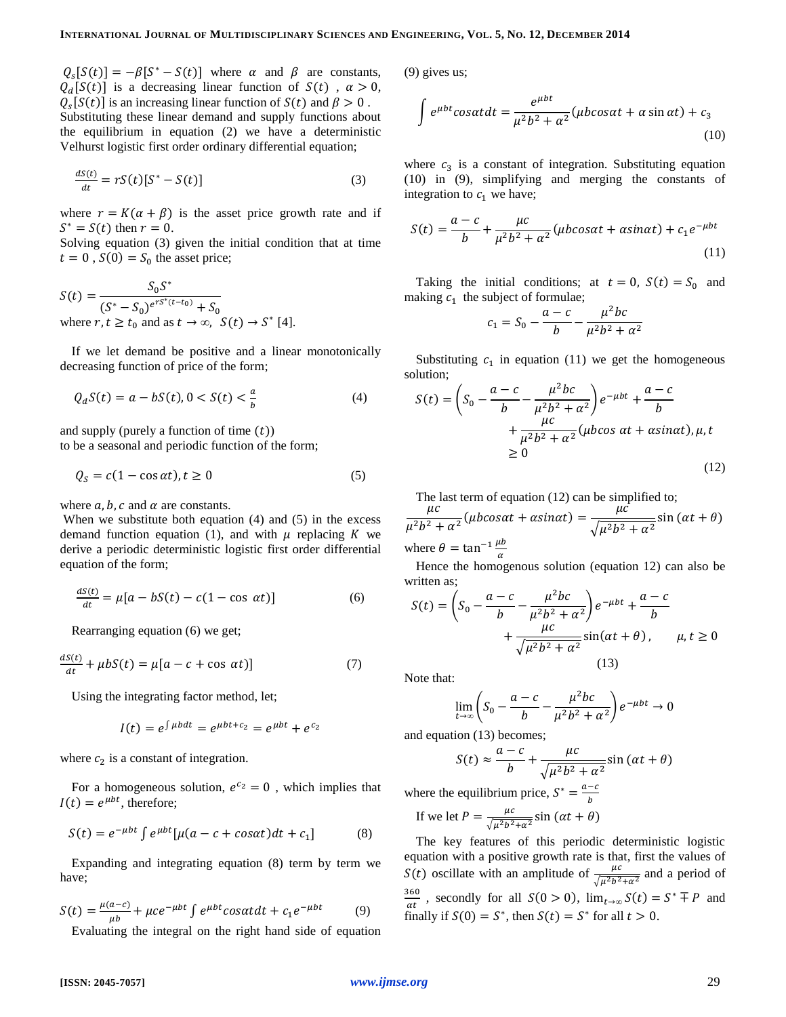$Q_s[S(t)] = -\beta [S^* - S(t)]$  where  $\alpha$  and  $\beta$  are constants,  $Q_d[S(t)]$  is a decreasing linear function of  $S(t)$ ,  $\alpha > 0$ ,  $Q_{s}[S(t)]$  is an increasing linear function of  $S(t)$  and  $\beta > 0$ . Substituting these linear demand and supply functions about the equilibrium in equation (2) we have a deterministic Velhurst logistic first order ordinary differential equation;

$$
\frac{dS(t)}{dt} = rS(t)[S^* - S(t)]\tag{3}
$$

where  $r = K(\alpha + \beta)$  is the asset price growth rate and if  $S^* = S(t)$  then  $r = 0$ .

Solving equation (3) given the initial condition that at time  $t = 0$ ,  $S(0) = S_0$  the asset price;

$$
S(t) = \frac{S_0 S^*}{(S^* - S_0)^{e^{rS^*(t - t_0)}} + S_0}
$$
  
where  $r, t \ge t_0$  and as  $t \to \infty$ ,  $S(t) \to S^*$  [4].

If we let demand be positive and a linear monotonically decreasing function of price of the form;

$$
Q_d S(t) = a - bS(t), 0 < S(t) < \frac{a}{b} \tag{4}
$$

and supply (purely a function of time  $(t)$ ) to be a seasonal and periodic function of the form;

$$
Q_S = c(1 - \cos \alpha t), t \ge 0
$$
\n<sup>(5)</sup>

where  $a, b, c$  and  $\alpha$  are constants.

When we substitute both equation  $(4)$  and  $(5)$  in the excess demand function equation (1), and with  $\mu$  replacing K we derive a periodic deterministic logistic first order differential equation of the form;

$$
\frac{dS(t)}{dt} = \mu[a - bS(t) - c(1 - \cos \alpha t)]\tag{6}
$$

Rearranging equation (6) we get;

$$
\frac{dS(t)}{dt} + \mu b S(t) = \mu [a - c + \cos \alpha t)] \tag{7}
$$

Using the integrating factor method, let;

$$
I(t) = e^{\int \mu b dt} = e^{\mu b t + c_2} = e^{\mu b t} + e^{c_2}
$$

where  $c_2$  is a constant of integration.

For a homogeneous solution,  $e^{c_2} = 0$ , which implies that  $I(t) = e^{\mu bt}$ , therefore;

$$
S(t) = e^{-\mu bt} \int e^{\mu bt} [\mu(a - c + \cos \alpha t) dt + c_1]
$$
 (8)

Expanding and integrating equation (8) term by term we have;

$$
S(t) = \frac{\mu(a-c)}{\mu b} + \mu c e^{-\mu b t} \int e^{\mu b t} \cos \alpha t dt + c_1 e^{-\mu b t}
$$
 (9)  
Evaluating the integral on the right hand side of equation

(9) gives us;

$$
\int e^{\mu bt} \cos\alpha t dt = \frac{e^{\mu bt}}{\mu^2 b^2 + \alpha^2} (\mu b \cos\alpha t + \alpha \sin\alpha t) + c_3
$$
\n(10)

where  $c_3$  is a constant of integration. Substituting equation (10) in (9), simplifying and merging the constants of integration to  $c_1$  we have;

$$
S(t) = \frac{a-c}{b} + \frac{\mu c}{\mu^2 b^2 + \alpha^2} (\mu b \cos \alpha t + \alpha \sin \alpha t) + c_1 e^{-\mu b t}
$$
\n(11)

Taking the initial conditions; at  $t = 0$ ,  $S(t) = S_0$  and making  $c_1$  the subject of formulae;

$$
c_1 = S_0 - \frac{a - c}{b} - \frac{\mu^2 bc}{\mu^2 b^2 + \alpha^2}
$$

Substituting  $c_1$  in equation (11) we get the homogeneous solution;

$$
S(t) = \left(S_0 - \frac{a-c}{b} - \frac{\mu^2 bc}{\mu^2 b^2 + \alpha^2}\right) e^{-\mu bt} + \frac{a-c}{b} + \frac{\mu c}{\mu^2 b^2 + \alpha^2} (\mu b \cos \alpha t + \alpha \sin \alpha t), \mu, t
$$
  

$$
\geq 0 \tag{12}
$$

The last term of equation (12) can be simplified to;

 $\mu$  $\frac{\mu c}{\mu^2 b^2 + \alpha^2} (\mu b cos \alpha t + a sin \alpha t) = \frac{\mu}{\sqrt{\mu^2 b^2}}$  $\frac{1}{\sqrt{\mu^2b^2+\alpha^2}}s$ where  $\theta = \tan^{-1} \frac{\mu}{\alpha}$ 

Hence the homogenous solution (equation 12) can also be written as;

$$
S(t) = \left(S_0 - \frac{a-c}{b} - \frac{\mu^2 bc}{\mu^2 b^2 + \alpha^2}\right) e^{-\mu bt} + \frac{a-c}{b} + \frac{\mu c}{\sqrt{\mu^2 b^2 + \alpha^2}} \sin(\alpha t + \theta), \qquad \mu, t \ge 0
$$
\n(13)

Note that:

$$
\lim_{t \to \infty} \left( S_0 - \frac{a - c}{b} - \frac{\mu^2 bc}{\mu^2 b^2 + \alpha^2} \right) e^{-\mu bt} \to 0
$$

and equation (13) becomes;

$$
S(t) \approx \frac{a-c}{b} + \frac{\mu c}{\sqrt{\mu^2 b^2 + \alpha^2}} \sin(\alpha t + \theta)
$$

where the equilibrium price,  $S^* = \frac{a}{\epsilon}$ b

If we let 
$$
P = \frac{\mu c}{\sqrt{\mu^2 b^2 + \alpha^2}} \sin(\alpha t + \theta)
$$

The key features of this periodic deterministic logistic equation with a positive growth rate is that, first the values of  $S(t)$  oscillate with an amplitude of  $\frac{\mu}{\sqrt{\mu^2 b^2 + \alpha^2}}$  and a period of 3  $\frac{360}{\alpha t}$ , secondly for all  $S(0 > 0)$ ,  $\lim_{t \to \infty} S(t) = S^* \mp P$  and finally if  $S(0) = S^*$ , then  $S(t) = S^*$  for all  $t > 0$ .